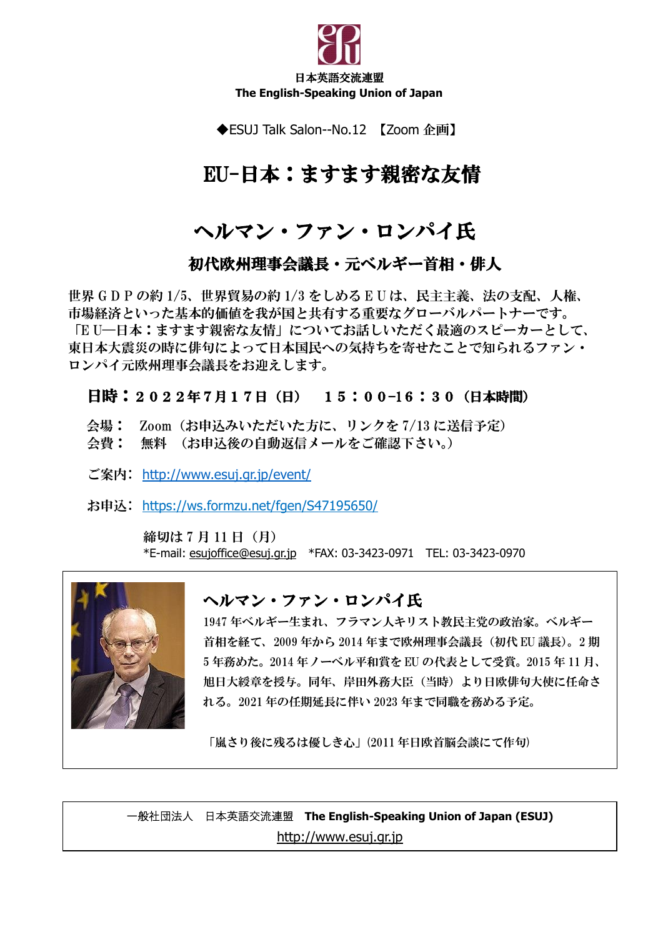

◆ESUJ Talk Salon--No.12 【Zoom 企画】

## EU-日本:ますます親密な友情

## ヘルマン・ファン・ロンパイ氏

### 初代欧州理事会議長・元ベルギー首相・俳人

 市場経済といった基本的価値を我が国と共有する重要なグローバルパートナーです。 東日本大震災の時に俳句によって日本国民への気持ちを寄せたことで知られるファン・<br>ロンパイニ吸収理恵へ講長され迎えし**さ**す 世界 G D P の約 1/5、世界貿易の約 1/3 をしめる E U は、民主主義、法の支配、人権、 「E U―日本:ますます親密な友情」についてお話しいただく最適のスピーカーとして、 ロンパイ元欧州理事会議長をお迎えします。

#### 日時:2022年7月17日(日) 15:00–16:30(日本時間)

- 会場: Zoom(お申込みいただいた方に、リンクを 7/13 に送信予定)
- 会費: 無料 (お申込後の自動返信メールをご確認下さい。)
- ご案内: [http://www.esuj.gr.jp/event/](about:blank)

お申込: [https://ws.formzu.net/fgen/S47195650/](about:blank)

締切は 7 月 11 日 (月) \*E-mail: [esujoffice@esuj.gr.jp](about:blank) \*FAX: 03-3423-0971 TEL: 03-3423-0970



### ヘルマン・ファン・ロンパイ氏

1947 年ベルギー生まれ、フラマン人キリスト教民主党の政治家。ベルギー 首相を経て、2009 年から 2014 年まで欧州理事会議長(初代 EU 議長)。2 期 5 年務めた。2014 年ノーベル平和賞を EU の代表として受賞。2015 年 11 月、 旭日大綬章を授与。同年、岸田外務大臣(当時)より日欧俳句大使に任命さ れる。2021 年の任期延長に伴い 2023 年まで同職を務める予定。

「嵐さり後に残るは優しき心」(2011 年日欧首脳会談にて作句)

一般社団法人 日本英語交流連盟 **The English-Speaking Union of Japan (ESUJ)** [http://www.esuj.gr.jp](about:blank)